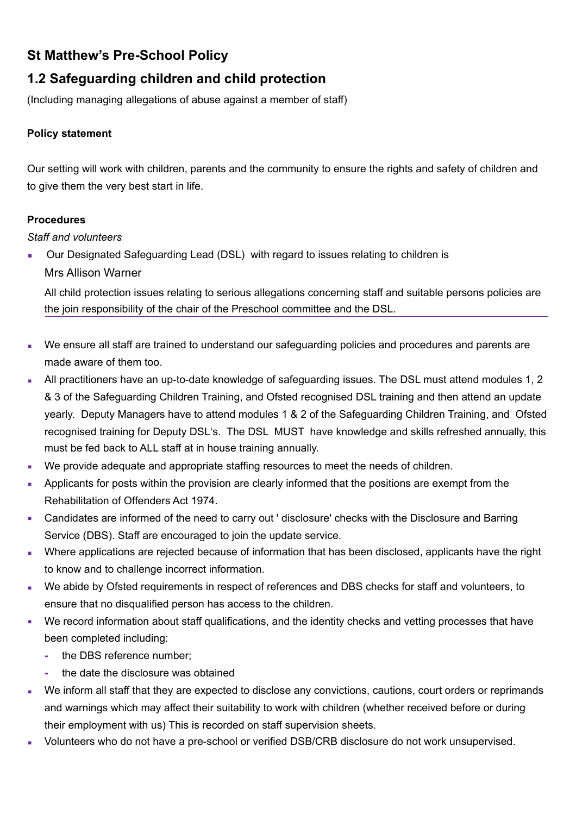# **St Matthew's Pre-School Policy**

# **1.2 Safeguarding children and child protection**

(Including managing allegations of abuse against a member of staff)

# **Policy statement**

Our setting will work with children, parents and the community to ensure the rights and safety of children and to give them the very best start in life.

# **Procedures**

*Staff and volunteers* 

■ Our Designated Safeguarding Lead (DSL) with regard to issues relating to children is Mrs Allison Warner

All child protection issues relating to serious allegations concerning staff and suitable persons policies are the join responsibility of the chair of the Preschool committee and the DSL.

- We ensure all staff are trained to understand our safeguarding policies and procedures and parents are made aware of them too.
- All practitioners have an up-to-date knowledge of safeguarding issues. The DSL must attend modules 1, 2 & 3 of the Safeguarding Children Training, and Ofsted recognised DSL training and then attend an update yearly. Deputy Managers have to attend modules 1 & 2 of the Safeguarding Children Training, and Ofsted recognised training for Deputy DSL's. The DSL MUST have knowledge and skills refreshed annually, this must be fed back to ALL staff at in house training annually.
- We provide adequate and appropriate staffing resources to meet the needs of children.
- Applicants for posts within the provision are clearly informed that the positions are exempt from the Rehabilitation of Offenders Act 1974.
- Candidates are informed of the need to carry out ' disclosure' checks with the Disclosure and Barring Service (DBS). Staff are encouraged to join the update service.
- **Where applications are rejected because of information that has been disclosed, applicants have the right** to know and to challenge incorrect information.
- We abide by Ofsted requirements in respect of references and DBS checks for staff and volunteers, to ensure that no disqualified person has access to the children.
- We record information about staff qualifications, and the identity checks and vetting processes that have been completed including:
	- **-** the DBS reference number;
	- **-** the date the disclosure was obtained
- We inform all staff that they are expected to disclose any convictions, cautions, court orders or reprimands and warnings which may affect their suitability to work with children (whether received before or during their employment with us) This is recorded on staff supervision sheets.
- Volunteers who do not have a pre-school or verified DSB/CRB disclosure do not work unsupervised.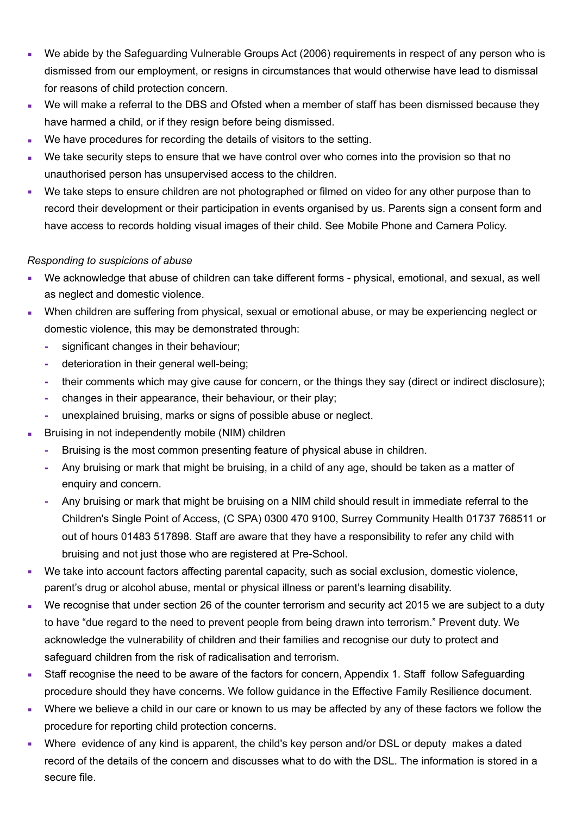- We abide by the Safeguarding Vulnerable Groups Act (2006) requirements in respect of any person who is dismissed from our employment, or resigns in circumstances that would otherwise have lead to dismissal for reasons of child protection concern.
- We will make a referral to the DBS and Ofsted when a member of staff has been dismissed because they have harmed a child, or if they resign before being dismissed.
- We have procedures for recording the details of visitors to the setting.
- We take security steps to ensure that we have control over who comes into the provision so that no unauthorised person has unsupervised access to the children.
- We take steps to ensure children are not photographed or filmed on video for any other purpose than to record their development or their participation in events organised by us. Parents sign a consent form and have access to records holding visual images of their child. See Mobile Phone and Camera Policy.

#### *Responding to suspicions of abuse*

- We acknowledge that abuse of children can take different forms physical, emotional, and sexual, as well as neglect and domestic violence.
- When children are suffering from physical, sexual or emotional abuse, or may be experiencing neglect or domestic violence, this may be demonstrated through:
	- **-** significant changes in their behaviour;
	- **-** deterioration in their general well-being;
	- **-** their comments which may give cause for concern, or the things they say (direct or indirect disclosure);
	- **-** changes in their appearance, their behaviour, or their play;
	- **-** unexplained bruising, marks or signs of possible abuse or neglect.
- Bruising in not independently mobile (NIM) children
	- **-** Bruising is the most common presenting feature of physical abuse in children.
	- **-** Any bruising or mark that might be bruising, in a child of any age, should be taken as a matter of enquiry and concern.
	- **-** Any bruising or mark that might be bruising on a NIM child should result in immediate referral to the Children's Single Point of Access, (C SPA) 0300 470 9100, Surrey Community Health 01737 768511 or out of hours 01483 517898. Staff are aware that they have a responsibility to refer any child with bruising and not just those who are registered at Pre-School.
- We take into account factors affecting parental capacity, such as social exclusion, domestic violence, parent's drug or alcohol abuse, mental or physical illness or parent's learning disability.
- We recognise that under section 26 of the counter terrorism and security act 2015 we are subject to a duty to have "due regard to the need to prevent people from being drawn into terrorism." Prevent duty. We acknowledge the vulnerability of children and their families and recognise our duty to protect and safeguard children from the risk of radicalisation and terrorism.
- **EXECT** Staff recognise the need to be aware of the factors for concern, Appendix 1. Staff follow Safeguarding procedure should they have concerns. We follow guidance in the Effective Family Resilience document.
- Where we believe a child in our care or known to us may be affected by any of these factors we follow the procedure for reporting child protection concerns.
- Where evidence of any kind is apparent, the child's key person and/or DSL or deputy makes a dated record of the details of the concern and discusses what to do with the DSL. The information is stored in a secure file.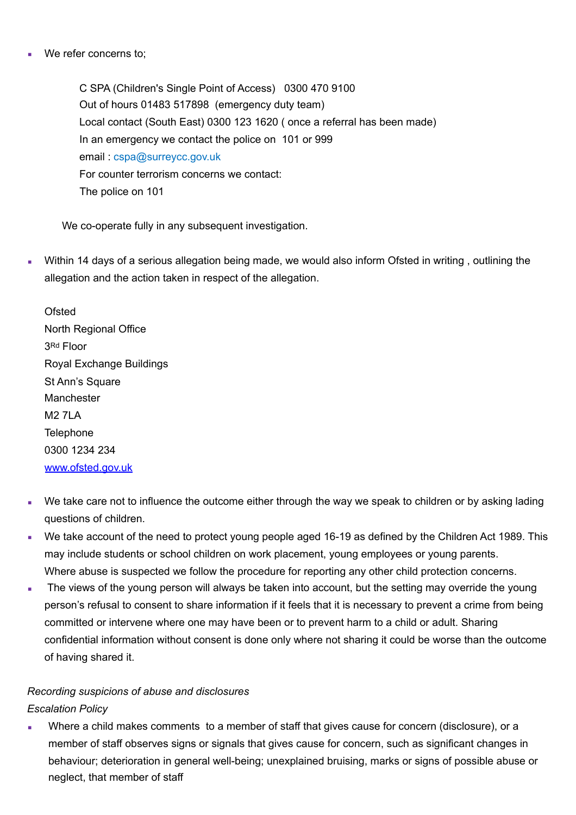We refer concerns to;

C SPA (Children's Single Point of Access) 0300 470 9100 Out of hours 01483 517898 (emergency duty team) Local contact (South East) 0300 123 1620 ( once a referral has been made) In an emergency we contact the police on 101 or 999 email : cspa@surreycc.gov.uk For counter terrorism concerns we contact: The police on 101

We co-operate fully in any subsequent investigation.

Within 14 days of a serious allegation being made, we would also inform Ofsted in writing, outlining the allegation and the action taken in respect of the allegation.

**Ofsted** North Regional Office 3Rd Floor Royal Exchange Buildings St Ann's Square Manchester M2 7LA **Telephone** 0300 1234 234 [www.ofsted.gov.uk](http://www.ofsted.gov.uk)

- We take care not to influence the outcome either through the way we speak to children or by asking lading questions of children.
- We take account of the need to protect young people aged 16-19 as defined by the Children Act 1989. This may include students or school children on work placement, young employees or young parents. Where abuse is suspected we follow the procedure for reporting any other child protection concerns.
- The views of the young person will always be taken into account, but the setting may override the young person's refusal to consent to share information if it feels that it is necessary to prevent a crime from being committed or intervene where one may have been or to prevent harm to a child or adult. Sharing confidential information without consent is done only where not sharing it could be worse than the outcome of having shared it.

# *Recording suspicions of abuse and disclosures Escalation Policy*

Where a child makes comments to a member of staff that gives cause for concern (disclosure), or a member of staff observes signs or signals that gives cause for concern, such as significant changes in behaviour; deterioration in general well-being; unexplained bruising, marks or signs of possible abuse or neglect, that member of staff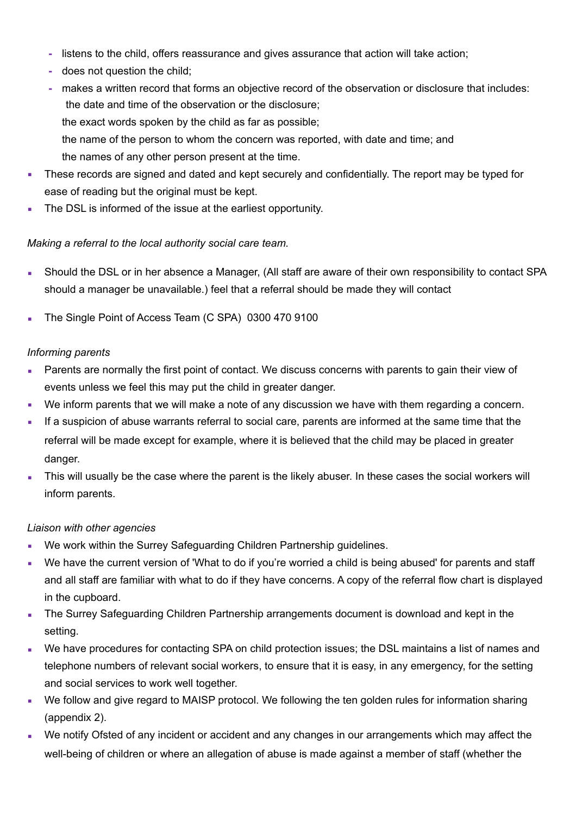- **-** listens to the child, offers reassurance and gives assurance that action will take action;
- **-** does not question the child;
- **-** makes a written record that forms an objective record of the observation or disclosure that includes: the date and time of the observation or the disclosure; the exact words spoken by the child as far as possible; the name of the person to whom the concern was reported, with date and time; and the names of any other person present at the time.
- These records are signed and dated and kept securely and confidentially. The report may be typed for ease of reading but the original must be kept.
- The DSL is informed of the issue at the earliest opportunity.

# *Making a referral to the local authority social care team.*

- Should the DSL or in her absence a Manager, (All staff are aware of their own responsibility to contact SPA should a manager be unavailable.) feel that a referral should be made they will contact
- The Single Point of Access Team (C SPA) 0300 470 9100

# *Informing parents*

- Parents are normally the first point of contact. We discuss concerns with parents to gain their view of events unless we feel this may put the child in greater danger.
- We inform parents that we will make a note of any discussion we have with them regarding a concern.
- **If a suspicion of abuse warrants referral to social care, parents are informed at the same time that the** referral will be made except for example, where it is believed that the child may be placed in greater danger.
- This will usually be the case where the parent is the likely abuser. In these cases the social workers will inform parents.

# *Liaison with other agencies*

- We work within the Surrey Safeguarding Children Partnership guidelines.
- We have the current version of 'What to do if you're worried a child is being abused' for parents and staff and all staff are familiar with what to do if they have concerns. A copy of the referral flow chart is displayed in the cupboard.
- The Surrey Safeguarding Children Partnership arrangements document is download and kept in the setting.
- We have procedures for contacting SPA on child protection issues; the DSL maintains a list of names and telephone numbers of relevant social workers, to ensure that it is easy, in any emergency, for the setting and social services to work well together.
- We follow and give regard to MAISP protocol. We following the ten golden rules for information sharing (appendix 2).
- We notify Ofsted of any incident or accident and any changes in our arrangements which may affect the well-being of children or where an allegation of abuse is made against a member of staff (whether the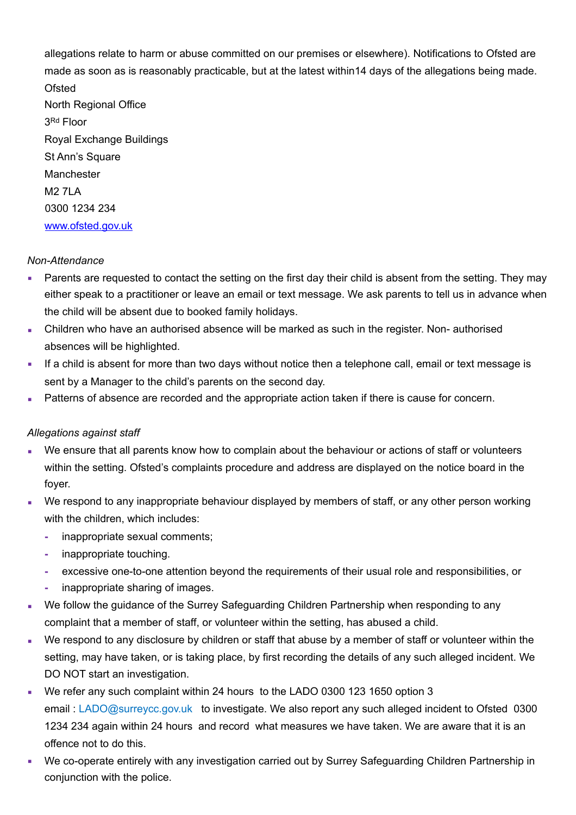allegations relate to harm or abuse committed on our premises or elsewhere). Notifications to Ofsted are made as soon as is reasonably practicable, but at the latest within14 days of the allegations being made. **Ofsted** North Regional Office 3Rd Floor Royal Exchange Buildings St Ann's Square **Manchester** M<sub>2</sub> 7LA 0300 1234 234 [www.ofsted.gov.uk](http://www.ofsted.gov.uk)

#### *Non-Attendance*

- **Parents are requested to contact the setting on the first day their child is absent from the setting. They may** either speak to a practitioner or leave an email or text message. We ask parents to tell us in advance when the child will be absent due to booked family holidays.
- **EXEC** Children who have an authorised absence will be marked as such in the register. Non- authorised absences will be highlighted.
- If a child is absent for more than two days without notice then a telephone call, email or text message is sent by a Manager to the child's parents on the second day.
- Patterns of absence are recorded and the appropriate action taken if there is cause for concern.

#### *Allegations against staff*

- We ensure that all parents know how to complain about the behaviour or actions of staff or volunteers within the setting. Ofsted's complaints procedure and address are displayed on the notice board in the foyer.
- We respond to any inappropriate behaviour displayed by members of staff, or any other person working with the children, which includes:
	- **-** inappropriate sexual comments;
	- **-** inappropriate touching.
	- **-** excessive one-to-one attention beyond the requirements of their usual role and responsibilities, or
	- **-** inappropriate sharing of images.
- We follow the guidance of the Surrey Safeguarding Children Partnership when responding to any complaint that a member of staff, or volunteer within the setting, has abused a child.
- We respond to any disclosure by children or staff that abuse by a member of staff or volunteer within the setting, may have taken, or is taking place, by first recording the details of any such alleged incident. We DO NOT start an investigation.
- We refer any such complaint within 24 hours to the LADO 0300 123 1650 option 3 email : LADO@surreycc.gov.uk to investigate. We also report any such alleged incident to Ofsted 0300 1234 234 again within 24 hours and record what measures we have taken. We are aware that it is an offence not to do this.
- We co-operate entirely with any investigation carried out by Surrey Safeguarding Children Partnership in conjunction with the police.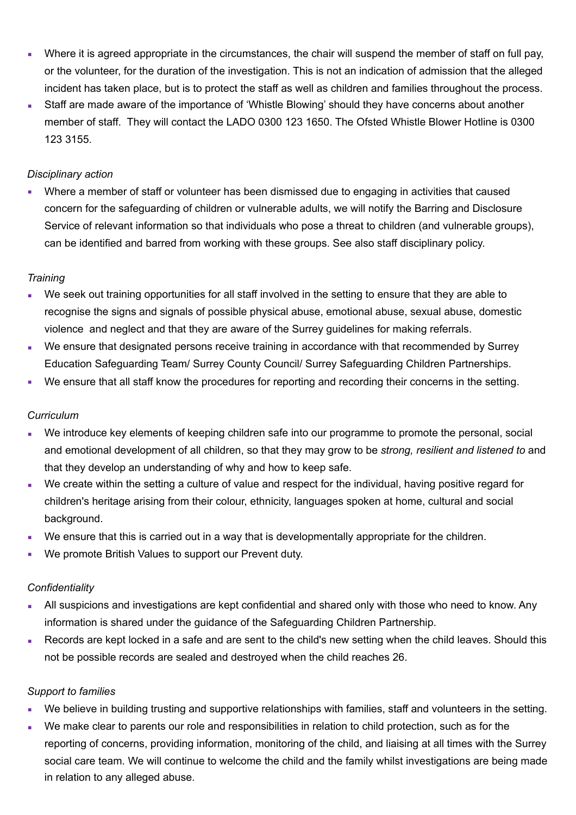- Where it is agreed appropriate in the circumstances, the chair will suspend the member of staff on full pay, or the volunteer, for the duration of the investigation. This is not an indication of admission that the alleged incident has taken place, but is to protect the staff as well as children and families throughout the process.
- Staff are made aware of the importance of 'Whistle Blowing' should they have concerns about another member of staff. They will contact the LADO 0300 123 1650. The Ofsted Whistle Blower Hotline is 0300 123 3155.

### *Disciplinary action*

▪ Where a member of staff or volunteer has been dismissed due to engaging in activities that caused concern for the safeguarding of children or vulnerable adults, we will notify the Barring and Disclosure Service of relevant information so that individuals who pose a threat to children (and vulnerable groups), can be identified and barred from working with these groups. See also staff disciplinary policy.

### *Training*

- We seek out training opportunities for all staff involved in the setting to ensure that they are able to recognise the signs and signals of possible physical abuse, emotional abuse, sexual abuse, domestic violence and neglect and that they are aware of the Surrey guidelines for making referrals.
- We ensure that designated persons receive training in accordance with that recommended by Surrey Education Safeguarding Team/ Surrey County Council/ Surrey Safeguarding Children Partnerships.
- We ensure that all staff know the procedures for reporting and recording their concerns in the setting.

#### *Curriculum*

- We introduce key elements of keeping children safe into our programme to promote the personal, social and emotional development of all children, so that they may grow to be *strong, resilient and listened to* and that they develop an understanding of why and how to keep safe.
- We create within the setting a culture of value and respect for the individual, having positive regard for children's heritage arising from their colour, ethnicity, languages spoken at home, cultural and social background.
- We ensure that this is carried out in a way that is developmentally appropriate for the children.
- We promote British Values to support our Prevent duty.

#### *Confidentiality*

- All suspicions and investigations are kept confidential and shared only with those who need to know. Any information is shared under the guidance of the Safeguarding Children Partnership.
- Records are kept locked in a safe and are sent to the child's new setting when the child leaves. Should this not be possible records are sealed and destroyed when the child reaches 26.

#### *Support to families*

- We believe in building trusting and supportive relationships with families, staff and volunteers in the setting.
- We make clear to parents our role and responsibilities in relation to child protection, such as for the reporting of concerns, providing information, monitoring of the child, and liaising at all times with the Surrey social care team. We will continue to welcome the child and the family whilst investigations are being made in relation to any alleged abuse.